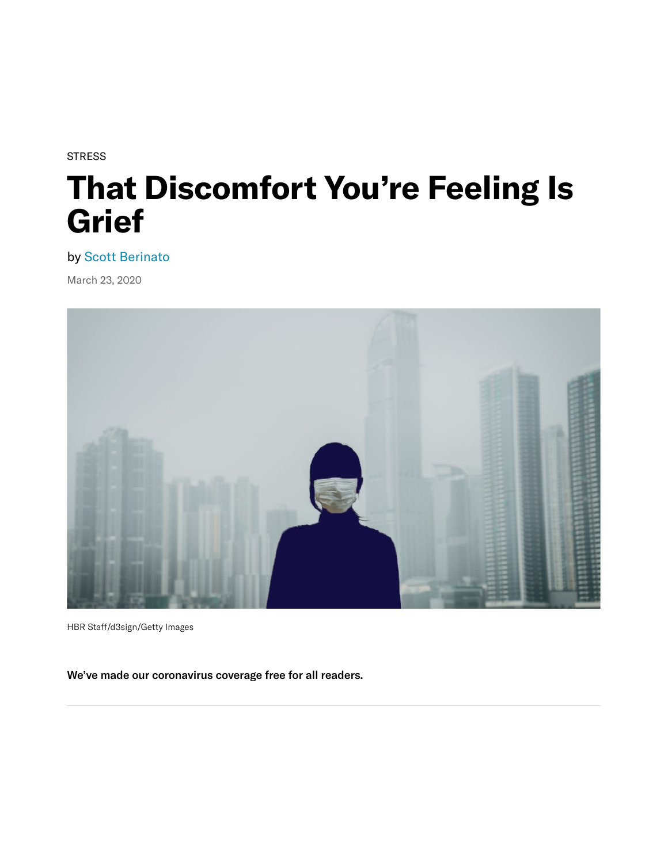**STRESS** 

# That Discomfort You're Feeling Is Grief

by Scott Berinato

March 23, 2020



HBR Staff/d3sign/Getty Images

We've made our coronavirus coverage free for all readers.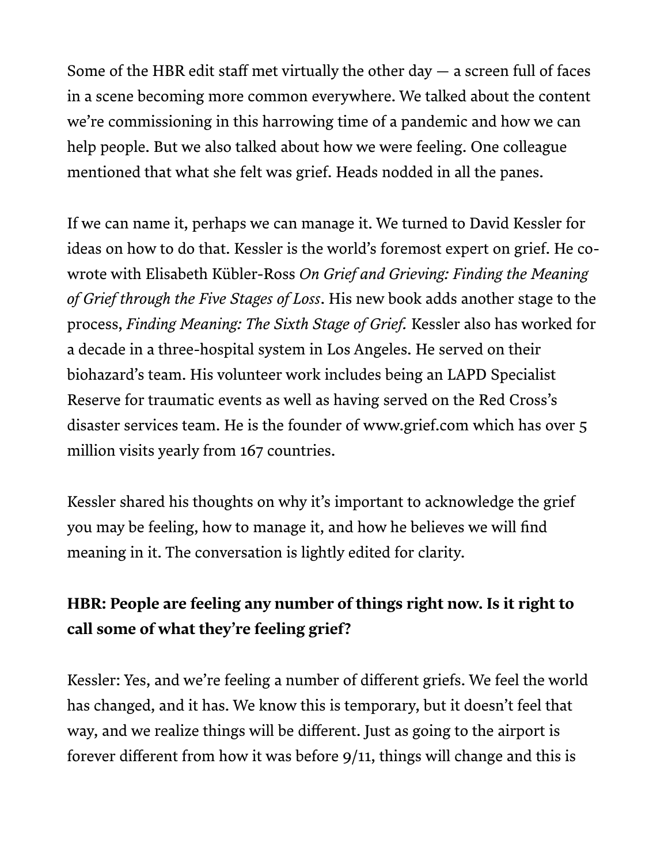Some of the HBR edit staff met virtually the other day  $-$  a screen full of faces in a scene becoming more common everywhere. We talked about the content we're commissioning in this harrowing time of a pandemic and how we can help people. But we also talked about how we were feeling. One colleague mentioned that what she felt was grief. Heads nodded in all the panes.

If we can name it, perhaps we can manage it. We turned to David Kessler for ideas on how to do that. Kessler is the world's foremost expert on grief. He cowrote with Elisabeth Kübler-Ross On Grief and Grieving: Finding the Meaning of Grief through the Five Stages of Loss. His new book adds another stage to the process, Finding Meaning: The Sixth Stage of Grief. Kessler also has worked for a decade in a three-hospital system in Los Angeles. He served on their biohazard's team. His volunteer work includes being an LAPD Specialist Reserve for traumatic events as well as having served on the Red Cross's disaster services team. He is the founder of www.grief.com which has over 5 million visits yearly from 167 countries.

Kessler shared his thoughts on why it's important to acknowledge the grief you may be feeling, how to manage it, and how he believes we will find meaning in it. The conversation is lightly edited for clarity.

# HBR: People are feeling any number of things right now. Is it right to call some of what they're feeling grief?

Kessler: Yes, and we're feeling a number of different griefs. We feel the world has changed, and it has. We know this is temporary, but it doesn't feel that way, and we realize things will be different. Just as going to the airport is forever different from how it was before 9/11, things will change and this is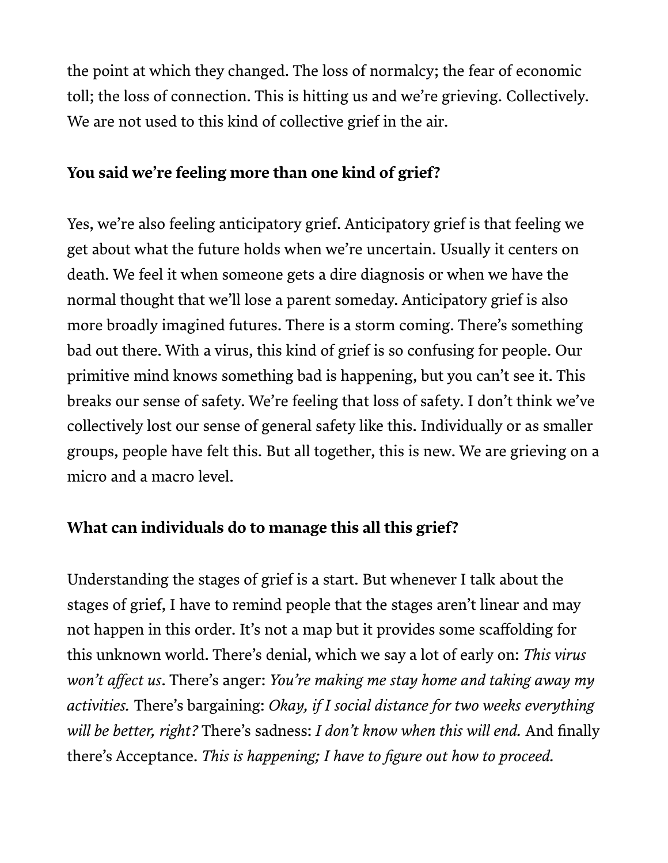the point at which they changed. The loss of normalcy; the fear of economic toll; the loss of connection. This is hitting us and we're grieving. Collectively. We are not used to this kind of collective grief in the air.

#### You said we're feeling more than one kind of grief?

Yes, we're also feeling anticipatory grief. Anticipatory grief is that feeling we get about what the future holds when we're uncertain. Usually it centers on death. We feel it when someone gets a dire diagnosis or when we have the normal thought that we'll lose a parent someday. Anticipatory grief is also more broadly imagined futures. There is a storm coming. There's something bad out there. With a virus, this kind of grief is so confusing for people. Our primitive mind knows something bad is happening, but you can't see it. This breaks our sense of safety. We're feeling that loss of safety. I don't think we've collectively lost our sense of general safety like this. Individually or as smaller groups, people have felt this. But all together, this is new. We are grieving on a micro and a macro level.

#### What can individuals do to manage this all this grief?

Understanding the stages of grief is a start. But whenever I talk about the stages of grief, I have to remind people that the stages aren't linear and may not happen in this order. It's not a map but it provides some scaffolding for this unknown world. There's denial, which we say a lot of early on: This virus won't affect us. There's anger: You're making me stay home and taking away my activities. There's bargaining: Okay, if I social distance for two weeks everything will be better, right? There's sadness: I don't know when this will end. And finally there's Acceptance. This is happening; I have to figure out how to proceed.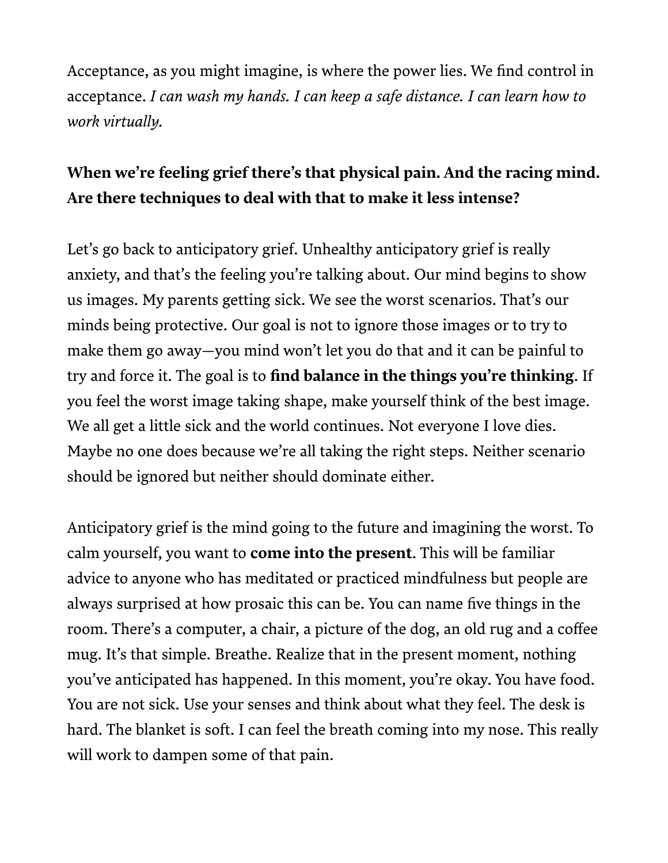Acceptance, as you might imagine, is where the power lies. We find control in acceptance. I can wash my hands. I can keep a safe distance. I can learn how to work virtually.

# When we're feeling grief there's that physical pain. And the racing mind. Are there techniques to deal with that to make it less intense?

Let's go back to anticipatory grief. Unhealthy anticipatory grief is really anxiety, and that's the feeling you're talking about. Our mind begins to show us images. My parents getting sick. We see the worst scenarios. That's our minds being protective. Our goal is not to ignore those images or to try to make them go away—you mind won't let you do that and it can be painful to try and force it. The goal is to find balance in the things you're thinking. If you feel the worst image taking shape, make yourself think of the best image. We all get a little sick and the world continues. Not everyone I love dies. Maybe no one does because we're all taking the right steps. Neither scenario should be ignored but neither should dominate either.

Anticipatory grief is the mind going to the future and imagining the worst. To calm yourself, you want to come into the present. This will be familiar advice to anyone who has meditated or practiced mindfulness but people are always surprised at how prosaic this can be. You can name five things in the room. There's a computer, a chair, a picture of the dog, an old rug and a coffee mug. It's that simple. Breathe. Realize that in the present moment, nothing you've anticipated has happened. In this moment, you're okay. You have food. You are not sick. Use your senses and think about what they feel. The desk is hard. The blanket is soft. I can feel the breath coming into my nose. This really will work to dampen some of that pain.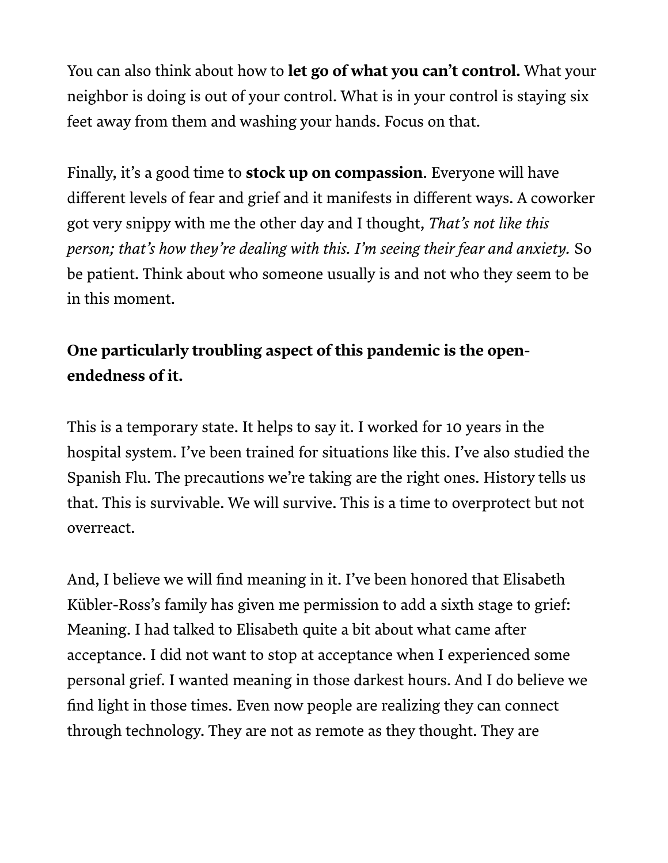You can also think about how to **let go of what you can't control.** What your neighbor is doing is out of your control. What is in your control is staying six feet away from them and washing your hands. Focus on that.

Finally, it's a good time to **stock up on compassion**. Everyone will have different levels of fear and grief and it manifests in different ways. A coworker got very snippy with me the other day and I thought, That's not like this person; that's how they're dealing with this. I'm seeing their fear and anxiety. So be patient. Think about who someone usually is and not who they seem to be in this moment.

# One particularly troubling aspect of this pandemic is the openendedness of it.

This is a temporary state. It helps to say it. I worked for 10 years in the hospital system. I've been trained for situations like this. I've also studied the Spanish Flu. The precautions we're taking are the right ones. History tells us that. This is survivable. We will survive. This is a time to overprotect but not overreact.

And, I believe we will find meaning in it. I've been honored that Elisabeth Kübler-Ross's family has given me permission to add a sixth stage to grief: Meaning. I had talked to Elisabeth quite a bit about what came after acceptance. I did not want to stop at acceptance when I experienced some personal grief. I wanted meaning in those darkest hours. And I do believe we find light in those times. Even now people are realizing they can connect through technology. They are not as remote as they thought. They are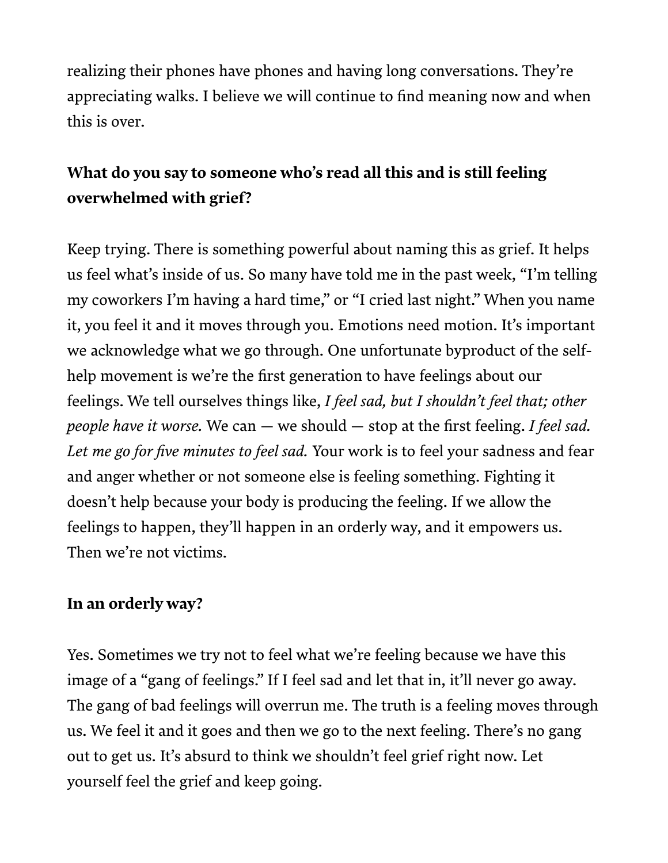realizing their phones have phones and having long conversations. They're appreciating walks. I believe we will continue to find meaning now and when this is over.

# What do you say to someone who's read all this and is still feeling overwhelmed with grief?

Keep trying. There is something powerful about naming this as grief. It helps us feel what's inside of us. So many have told me in the past week, "I'm telling my coworkers I'm having a hard time," or "I cried last night." When you name it, you feel it and it moves through you. Emotions need motion. It's important we acknowledge what we go through. One unfortunate byproduct of the selfhelp movement is we're the first generation to have feelings about our feelings. We tell ourselves things like, I feel sad, but I shouldn't feel that; other people have it worse. We can — we should — stop at the first feeling. I feel sad. Let me go for five minutes to feel sad. Your work is to feel your sadness and fear and anger whether or not someone else is feeling something. Fighting it doesn't help because your body is producing the feeling. If we allow the feelings to happen, they'll happen in an orderly way, and it empowers us. Then we're not victims.

### In an orderly way?

Yes. Sometimes we try not to feel what we're feeling because we have this image of a "gang of feelings." If I feel sad and let that in, it'll never go away. The gang of bad feelings will overrun me. The truth is a feeling moves through us. We feel it and it goes and then we go to the next feeling. There's no gang out to get us. It's absurd to think we shouldn't feel grief right now. Let yourself feel the grief and keep going.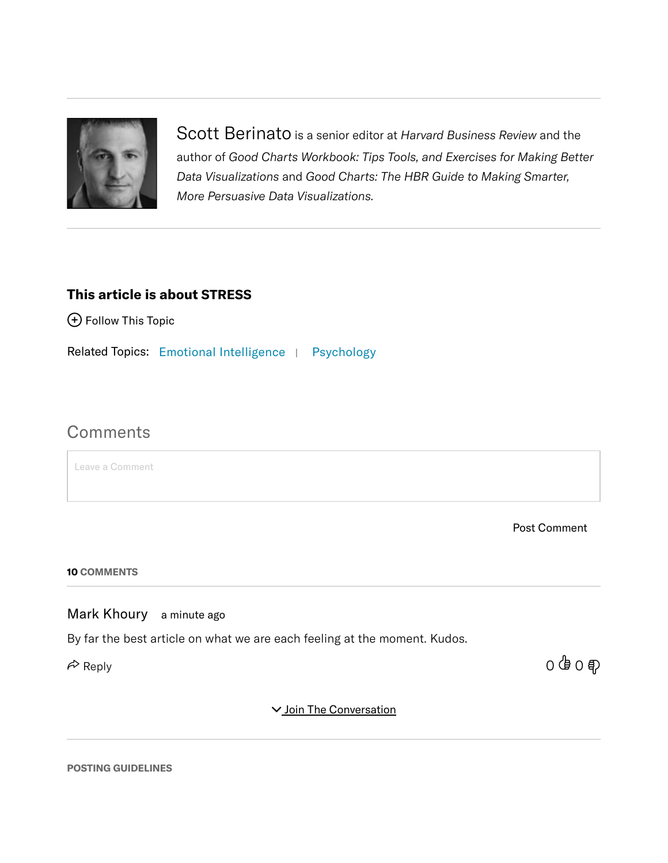

Scott Berinato is a senior editor at Harvard Business Review and the author of Good Charts Workbook: Tips Tools, and Exercises for Making Better Data Visualizations and Good Charts: The HBR Guide to Making Smarter, More Persuasive Data Visualizations.

#### This article is about STRESS

Follow This Topic

Related Topics: Emotional Intelligence | Psychology

#### **Comments**

Leave a Comment

Post Comment

10 COMMENTS

Mark Khoury a minute ago

By far the best article on what we are each feeling at the moment. Kudos.

 $\hat{\epsilon}$  Reply  $0 \oplus 0 \oplus 0$ 

Join The Conversation

POSTING GUIDELINES